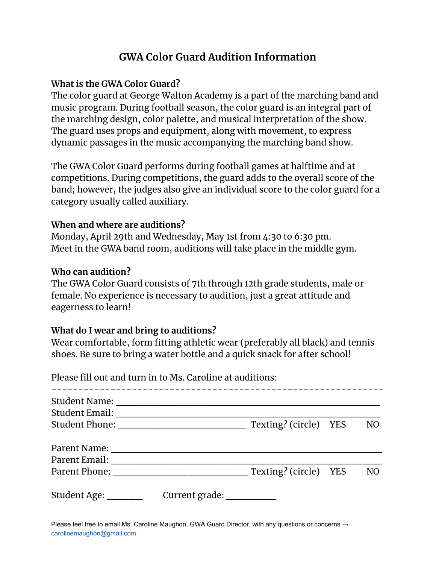# **GWA Color Guard Audition Information**

# **What is the GWA Color Guard?**

The color guard at George Walton Academy is a part of the marching band and music program. During football season, the color guard is an integral part of the marching design, color palette, and musical interpretation of the show. The guard uses props and equipment, along with movement, to express dynamic passages in the music accompanying the marching band show.

The GWA Color Guard performs during football games at halftime and at competitions. During competitions, the guard adds to the overall score of the band; however, the judges also give an individual score to the color guard for a category usually called auxiliary.

## **When and where are auditions?**

Monday, April 29th and Wednesday, May 1st from 4:30 to 6:30 pm. Meet in the GWA band room, auditions will take place in the middle gym.

## **Who can audition?**

The GWA Color Guard consists of 7th through 12th grade students, male or female. No experience is necessary to audition, just a great attitude and eagerness to learn!

## **What do I wear and bring to auditions?**

Wear comfortable, form fitting athletic wear (preferably all black) and tennis shoes. Be sure to bring a water bottle and a quick snack for after school!

|                                               | Please fill out and turn in to Ms. Caroline at auditions: |                       |                |
|-----------------------------------------------|-----------------------------------------------------------|-----------------------|----------------|
| <b>Student Name:</b><br><b>Student Email:</b> |                                                           |                       |                |
| <b>Student Phone:</b>                         |                                                           | Texting? (circle) YES | N <sub>O</sub> |
| Parent Name:                                  |                                                           |                       |                |
| Parent Email:<br>Parent Phone:                |                                                           | Texting? (circle) YES | N <sub>O</sub> |
| Student Age:                                  | Current grade:                                            |                       |                |

Please feel free to email Ms. Caroline Maughon, GWA Guard Director, with any questions or concerns → [carolinemaughon@gmail.com](mailto:carolinemaughon@gmail.com)